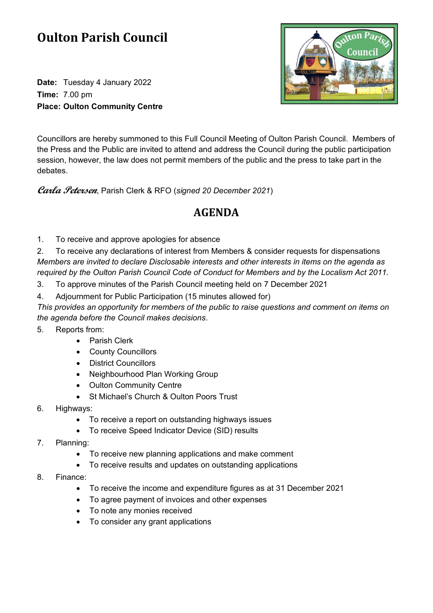## **Oulton Parish Council**

**Date:** Tuesday 4 January 2022 **Time:** 7.00 pm **Place: Oulton Community Centre**



Councillors are hereby summoned to this Full Council Meeting of Oulton Parish Council. Members of the Press and the Public are invited to attend and address the Council during the public participation session, however, the law does not permit members of the public and the press to take part in the debates.

**Carla Petersen**, Parish Clerk & RFO (*signed 20 December 2021*)

## **AGENDA**

1. To receive and approve apologies for absence

2. To receive any declarations of interest from Members & consider requests for dispensations *Members are invited to declare Disclosable interests and other interests in items on the agenda as required by the Oulton Parish Council Code of Conduct for Members and by the Localism Act 2011.*

- 3. To approve minutes of the Parish Council meeting held on 7 December 2021
- 4. Adjournment for Public Participation (15 minutes allowed for)

*This provides an opportunity for members of the public to raise questions and comment on items on the agenda before the Council makes decisions.*

- 5. Reports from:
	- Parish Clerk
	- County Councillors
	- District Councillors
	- Neighbourhood Plan Working Group
	- Oulton Community Centre
	- St Michael's Church & Oulton Poors Trust
- 6. Highways:
	- To receive a report on outstanding highways issues
	- To receive Speed Indicator Device (SID) results
- 7. Planning:
	- To receive new planning applications and make comment
	- To receive results and updates on outstanding applications
- 8. Finance:
	- To receive the income and expenditure figures as at 31 December 2021
	- To agree payment of invoices and other expenses
	- To note any monies received
	- To consider any grant applications